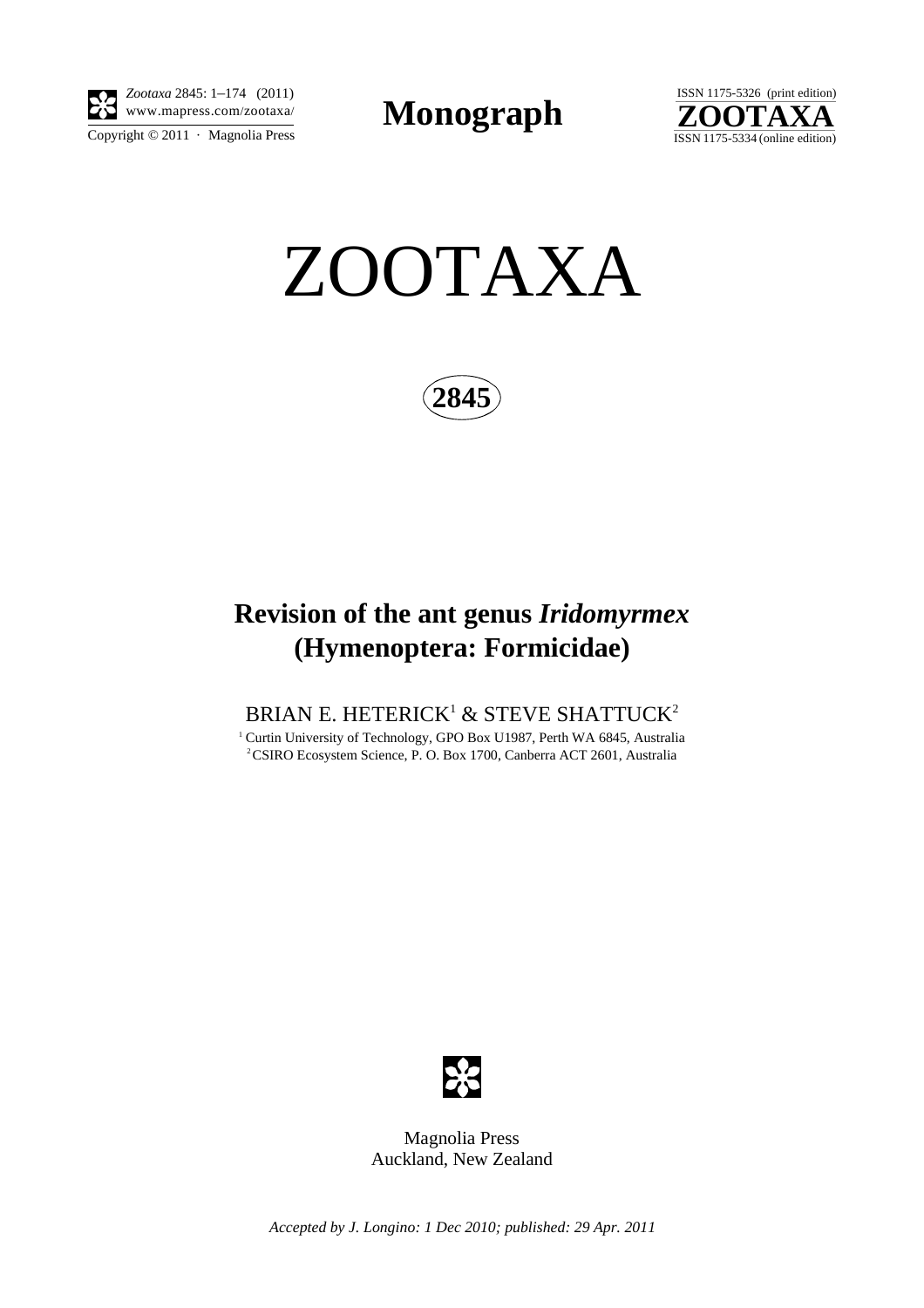

 $\overline{\text{Copyright} \odot 2011}$  · Magnolia Press *Zootaxa* 2845: 1–174 (2011)

**Monograph** 





**2845**

# **Revision of the ant genus** *Iridomyrmex* **(Hymenoptera: Formicidae)**

### BRIAN E. HETERICK $^{\scriptscriptstyle 1}$  & STEVE SHATTUCK $^{\scriptscriptstyle 2}$

<sup>1</sup> Curtin University of Technology, GPO Box U1987, Perth WA 6845, Australia 2 CSIRO Ecosystem Science, P. O. Box 1700, Canberra ACT 2601, Australia



Magnolia Press Auckland, New Zealand

*Accepted by J. Longino: 1 Dec 2010; published: 29 Apr. 2011*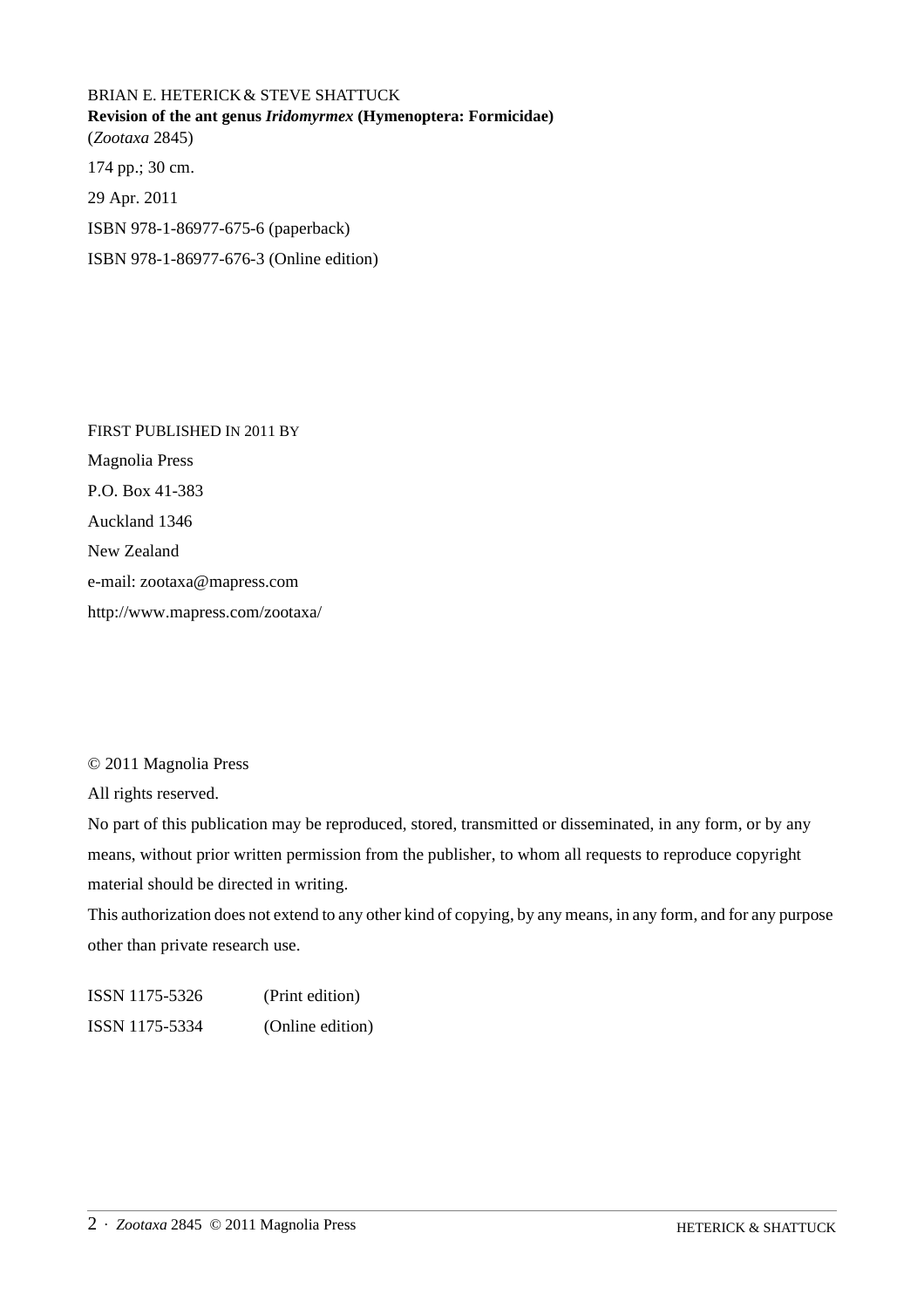## BRIAN E. HETERICK& STEVE SHATTUCK **Revision of the ant genus** *Iridomyrmex* **(Hymenoptera: Formicidae)** (*Zootaxa* 2845) 174 pp.; 30 cm. 29 Apr. 2011 ISBN 978-1-86977-675-6 (paperback) ISBN 978-1-86977-676-3 (Online edition)

FIRST PUBLISHED IN 2011 BY Magnolia Press P.O. Box 41-383 Auckland 1346 New Zealand e-mail: zootaxa@mapress.com http://www.mapress.com/zootaxa/

© 2011 Magnolia Press

All rights reserved.

No part of this publication may be reproduced, stored, transmitted or disseminated, in any form, or by any means, without prior written permission from the publisher, to whom all requests to reproduce copyright material should be directed in writing.

This authorization does not extend to any other kind of copying, by any means, in any form, and for any purpose other than private research use.

ISSN 1175-5326 (Print edition) ISSN 1175-5334 (Online edition)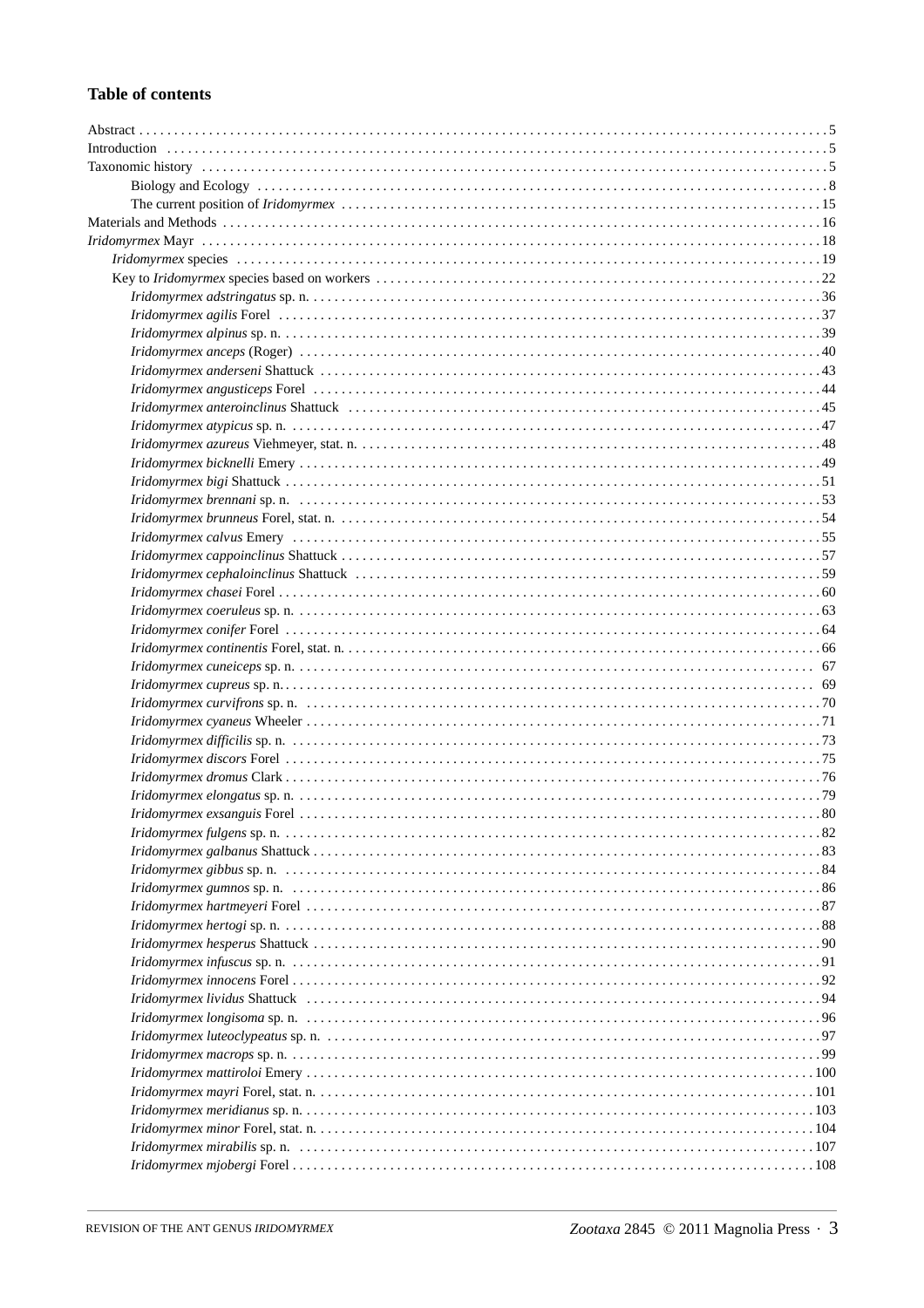#### **Table of contents**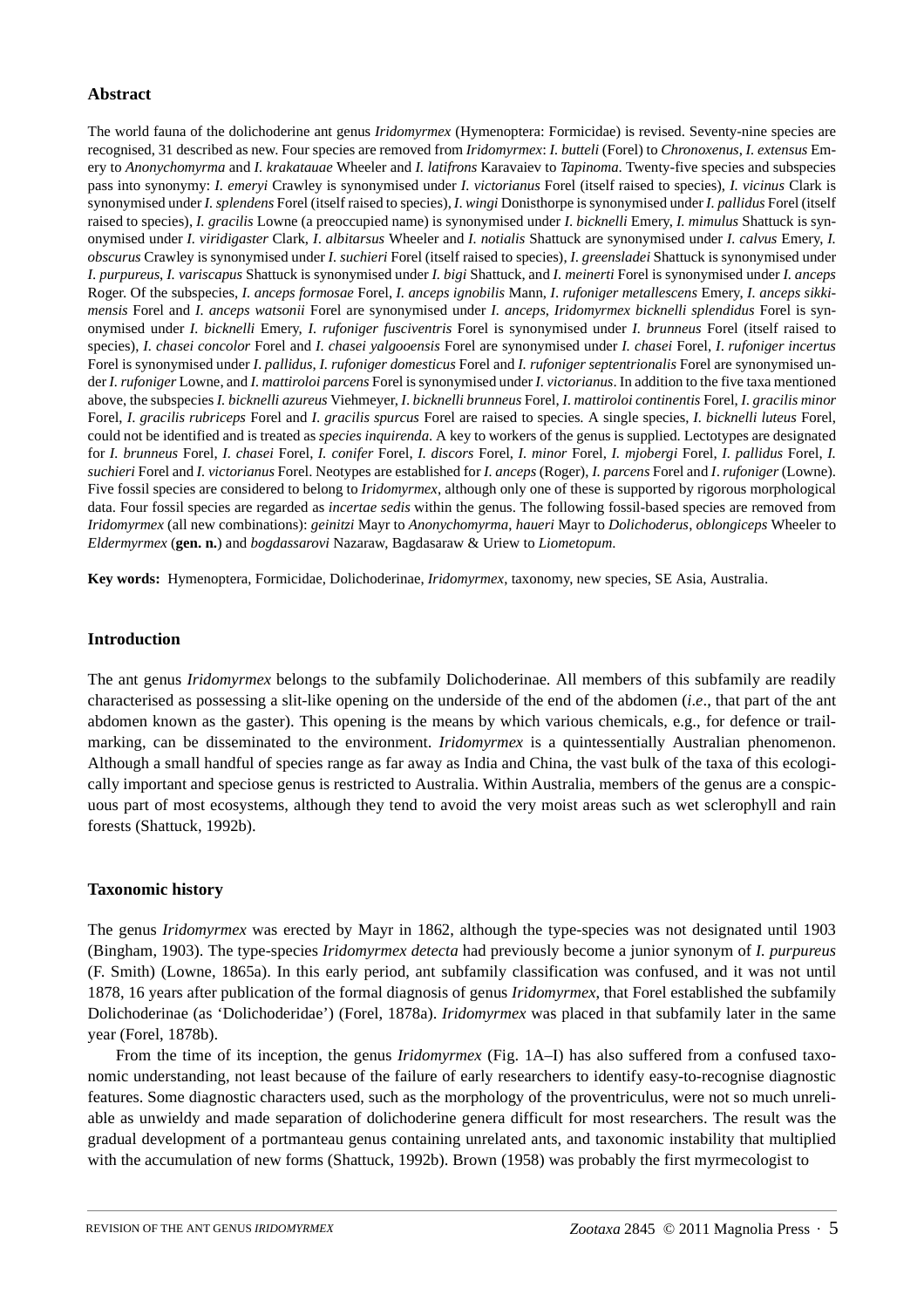#### **Abstract**

The world fauna of the dolichoderine ant genus *Iridomyrmex* (Hymenoptera: Formicidae) is revised. Seventy-nine species are recognised, 31 described as new. Four species are removed from *Iridomyrmex*: *I. butteli* (Forel) to *Chronoxenus*, *I. extensus* Emery to *Anonychomyrma* and *I. krakatauae* Wheeler and *I. latifrons* Karavaiev to *Tapinoma*. Twenty-five species and subspecies pass into synonymy: *I. emeryi* Crawley is synonymised under *I. victorianus* Forel (itself raised to species), *I. vicinus* Clark is synonymised under *I. splendens* Forel (itself raised to species), *I*. *wingi* Donisthorpe is synonymised under *I. pallidus* Forel (itself raised to species), *I. gracilis* Lowne (a preoccupied name) is synonymised under *I*. *bicknelli* Emery, *I. mimulus* Shattuck is synonymised under *I. viridigaster* Clark, *I*. *albitarsus* Wheeler and *I. notialis* Shattuck are synonymised under *I. calvus* Emery, *I. obscurus* Crawley is synonymised under *I. suchieri* Forel (itself raised to species), *I*. *greensladei* Shattuck is synonymised under *I*. *purpureus*, *I. variscapus* Shattuck is synonymised under *I. bigi* Shattuck, and *I. meinerti* Forel is synonymised under *I. anceps* Roger. Of the subspecies, *I. anceps formosae* Forel, *I. anceps ignobilis* Mann, *I*. *rufoniger metallescens* Emery, *I. anceps sikkimensis* Forel and *I. anceps watsonii* Forel are synonymised under *I. anceps*, *Iridomyrmex bicknelli splendidus* Forel is synonymised under *I. bicknelli* Emery, *I. rufoniger fusciventris* Forel is synonymised under *I. brunneus* Forel (itself raised to species), *I. chasei concolor* Forel and *I. chasei yalgooensis* Forel are synonymised under *I. chasei* Forel, *I*. *rufoniger incertus* Forel is synonymised under *I*. *pallidus*, *I. rufoniger domesticus* Forel and *I. rufoniger septentrionalis* Forel are synonymised under *I. rufoniger* Lowne, and *I. mattiroloi parcens* Forel is synonymised under *I. victorianus*. In addition to the five taxa mentioned above, the subspecies *I. bicknelli azureus* Viehmeyer, *I*. *bicknelli brunneus* Forel, *I*. *mattiroloi continentis* Forel, *I*. *gracilis minor* Forel, *I*. *gracilis rubriceps* Forel and *I*. *gracilis spurcus* Forel are raised to species. A single species, *I. bicknelli luteus* Forel, could not be identified and is treated as *species inquirenda*. A key to workers of the genus is supplied. Lectotypes are designated for *I. brunneus* Forel, *I. chasei* Forel, *I. conifer* Forel, *I. discors* Forel, *I. minor* Forel, *I. mjobergi* Forel, *I. pallidus* Forel, *I. suchieri* Forel and *I. victorianus* Forel. Neotypes are established for *I. anceps* (Roger), *I. parcens* Forel and *I*. *rufoniger* (Lowne). Five fossil species are considered to belong to *Iridomyrmex*, although only one of these is supported by rigorous morphological data. Four fossil species are regarded as *incertae sedis* within the genus. The following fossil-based species are removed from *Iridomyrmex* (all new combinations): *geinitzi* Mayr to *Anonychomyrma*, *haueri* Mayr to *Dolichoderus*, *oblongiceps* Wheeler to *Eldermyrmex* (**gen. n.**) and *bogdassarovi* Nazaraw, Bagdasaraw & Uriew to *Liometopum*.

**Key words:** Hymenoptera, Formicidae, Dolichoderinae, *Iridomyrmex*, taxonomy, new species, SE Asia, Australia.

#### **Introduction**

The ant genus *Iridomyrmex* belongs to the subfamily Dolichoderinae. All members of this subfamily are readily characterised as possessing a slit-like opening on the underside of the end of the abdomen (*i*.*e*., that part of the ant abdomen known as the gaster). This opening is the means by which various chemicals, e.g., for defence or trailmarking, can be disseminated to the environment. *Iridomyrmex* is a quintessentially Australian phenomenon. Although a small handful of species range as far away as India and China, the vast bulk of the taxa of this ecologically important and speciose genus is restricted to Australia. Within Australia, members of the genus are a conspicuous part of most ecosystems, although they tend to avoid the very moist areas such as wet sclerophyll and rain forests (Shattuck, 1992b).

#### **Taxonomic history**

The genus *Iridomyrmex* was erected by Mayr in 1862, although the type-species was not designated until 1903 (Bingham, 1903). The type-species *Iridomyrmex detecta* had previously become a junior synonym of *I. purpureus*  (F. Smith) (Lowne, 1865a). In this early period, ant subfamily classification was confused, and it was not until 1878, 16 years after publication of the formal diagnosis of genus *Iridomyrmex*, that Forel established the subfamily Dolichoderinae (as 'Dolichoderidae') (Forel, 1878a). *Iridomyrmex* was placed in that subfamily later in the same year (Forel, 1878b).

From the time of its inception, the genus *Iridomyrmex* (Fig. 1A–I) has also suffered from a confused taxonomic understanding, not least because of the failure of early researchers to identify easy-to-recognise diagnostic features. Some diagnostic characters used, such as the morphology of the proventriculus, were not so much unreliable as unwieldy and made separation of dolichoderine genera difficult for most researchers. The result was the gradual development of a portmanteau genus containing unrelated ants, and taxonomic instability that multiplied with the accumulation of new forms (Shattuck, 1992b). Brown (1958) was probably the first myrmecologist to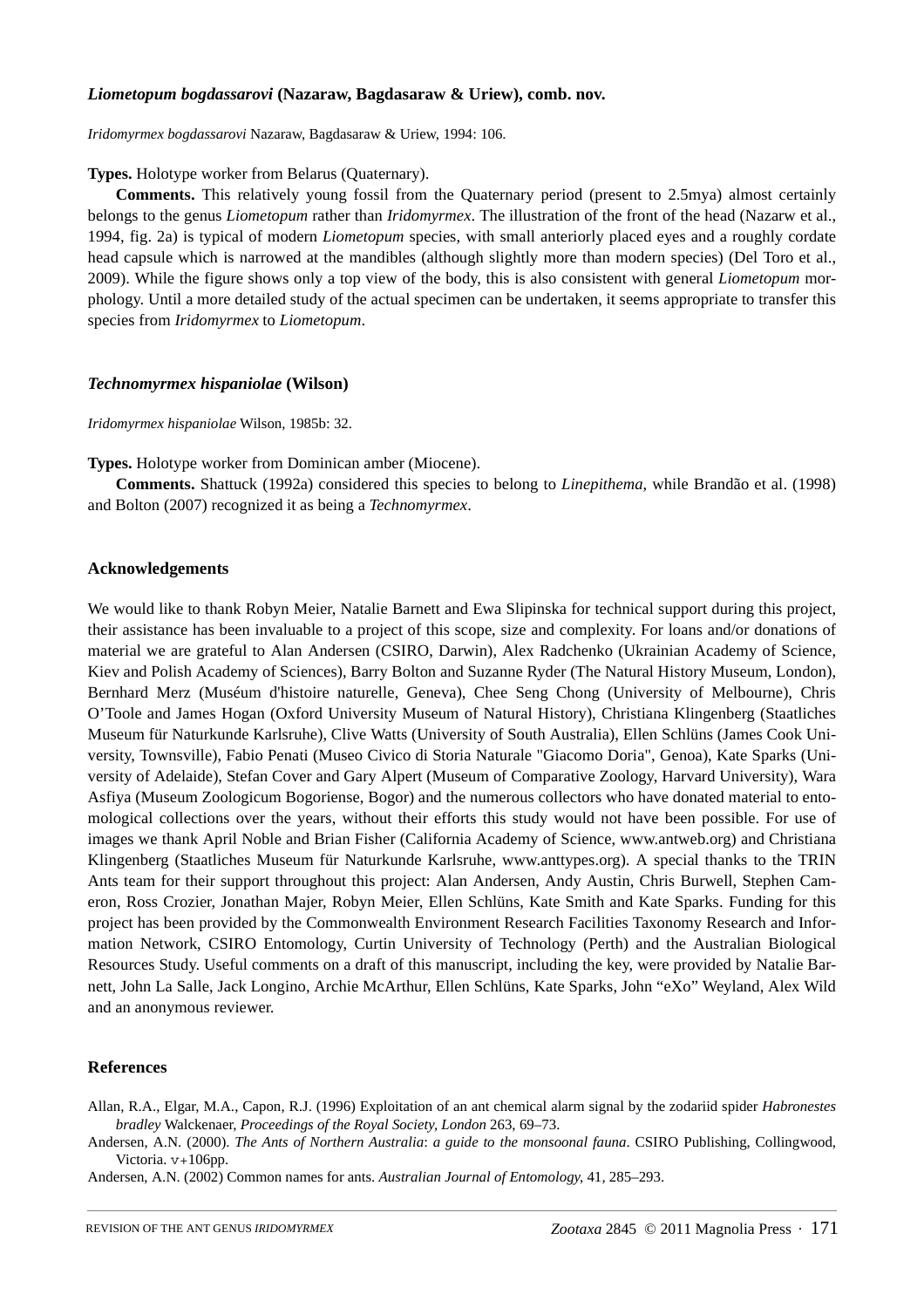#### *Liometopum bogdassarovi* **(Nazaraw, Bagdasaraw & Uriew), comb. nov.**

*Iridomyrmex bogdassarovi* Nazaraw, Bagdasaraw & Uriew, 1994: 106.

**Types.** Holotype worker from Belarus (Quaternary).

**Comments.** This relatively young fossil from the Quaternary period (present to 2.5mya) almost certainly belongs to the genus *Liometopum* rather than *Iridomyrmex*. The illustration of the front of the head (Nazarw et al., 1994, fig. 2a) is typical of modern *Liometopum* species, with small anteriorly placed eyes and a roughly cordate head capsule which is narrowed at the mandibles (although slightly more than modern species) (Del Toro et al., 2009). While the figure shows only a top view of the body, this is also consistent with general *Liometopum* morphology. Until a more detailed study of the actual specimen can be undertaken, it seems appropriate to transfer this species from *Iridomyrmex* to *Liometopum*.

#### *Technomyrmex hispaniolae* **(Wilson)**

*Iridomyrmex hispaniolae* Wilson, 1985b: 32.

**Types.** Holotype worker from Dominican amber (Miocene).

**Comments.** Shattuck (1992a) considered this species to belong to *Linepithema*, while Brandão et al. (1998) and Bolton (2007) recognized it as being a *Technomyrmex*.

#### **Acknowledgements**

We would like to thank Robyn Meier, Natalie Barnett and Ewa Slipinska for technical support during this project, their assistance has been invaluable to a project of this scope, size and complexity. For loans and/or donations of material we are grateful to Alan Andersen (CSIRO, Darwin), Alex Radchenko (Ukrainian Academy of Science, Kiev and Polish Academy of Sciences), Barry Bolton and Suzanne Ryder (The Natural History Museum, London), Bernhard Merz (Muséum d'histoire naturelle, Geneva), Chee Seng Chong (University of Melbourne), Chris O'Toole and James Hogan (Oxford University Museum of Natural History), Christiana Klingenberg (Staatliches Museum für Naturkunde Karlsruhe), Clive Watts (University of South Australia), Ellen Schlüns (James Cook University, Townsville), Fabio Penati (Museo Civico di Storia Naturale "Giacomo Doria", Genoa), Kate Sparks (University of Adelaide), Stefan Cover and Gary Alpert (Museum of Comparative Zoology, Harvard University), Wara Asfiya (Museum Zoologicum Bogoriense, Bogor) and the numerous collectors who have donated material to entomological collections over the years, without their efforts this study would not have been possible. For use of images we thank April Noble and Brian Fisher (California Academy of Science, www.antweb.org) and Christiana Klingenberg (Staatliches Museum für Naturkunde Karlsruhe, www.anttypes.org). A special thanks to the TRIN Ants team for their support throughout this project: Alan Andersen, Andy Austin, Chris Burwell, Stephen Cameron, Ross Crozier, Jonathan Majer, Robyn Meier, Ellen Schlüns, Kate Smith and Kate Sparks. Funding for this project has been provided by the Commonwealth Environment Research Facilities Taxonomy Research and Information Network, CSIRO Entomology, Curtin University of Technology (Perth) and the Australian Biological Resources Study. Useful comments on a draft of this manuscript, including the key, were provided by Natalie Barnett, John La Salle, Jack Longino, Archie McArthur, Ellen Schlüns, Kate Sparks, John "eXo" Weyland, Alex Wild and an anonymous reviewer.

#### **References**

Allan, R.A., Elgar, M.A., Capon, R.J. (1996) Exploitation of an ant chemical alarm signal by the zodariid spider *Habronestes bradley* [Walckenaer,](http://en.wikipedia.org/wiki/Proceedings_of_the_Royal_Society) *Proceedings of the Royal Society, London* 263, 69–73.

Andersen, A.N. (2000). *The Ants of Northern Australia*: *a guide to the monsoonal fauna*. CSIRO Publishing, Collingwood, Victoria. v+106pp.

Andersen, A.N. (2002) Common names for ants. *Australian Journal of Entomology*, 41, 285–293.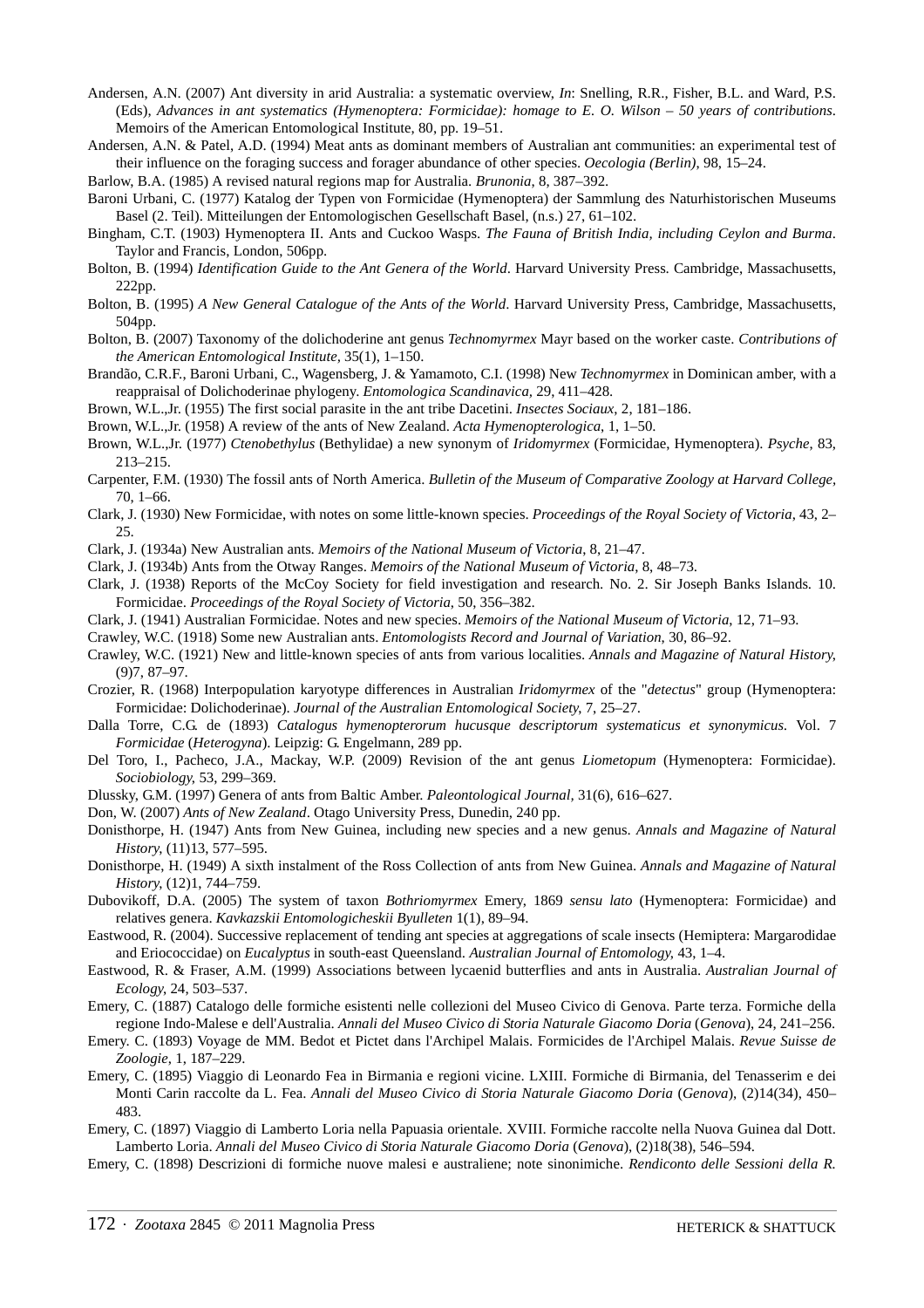- Andersen, A.N. (2007) Ant diversity in arid Australia: a systematic overview, *In*: Snelling, R.R., Fisher, B.L. and Ward, P.S. (Eds), *Advances in ant systematics (Hymenoptera: Formicidae): homage to E. O. Wilson – 50 years of contributions*. Memoirs of the American Entomological Institute, 80, pp. 19–51.
- Andersen, A.N. & Patel, A.D. (1994) Meat ants as dominant members of Australian ant communities: an experimental test of their influence on the foraging success and forager abundance of other species. *Oecologia (Berlin)*, 98, 15–24.

Barlow, B.A. (1985) A revised natural regions map for Australia. *Brunonia*, 8, 387–392.

- Baroni Urbani, C. (1977) Katalog der Typen von Formicidae (Hymenoptera) der Sammlung des Naturhistorischen Museums Basel (2. Teil). Mitteilungen der Entomologischen Gesellschaft Basel, (n.s.) 27, 61–102.
- Bingham, C.T. (1903) Hymenoptera II. Ants and Cuckoo Wasps. *The Fauna of British India, including Ceylon and Burma*. Taylor and Francis, London, 506pp.
- Bolton, B. (1994) *Identification Guide to the Ant Genera of the World*. Harvard University Press. Cambridge, Massachusetts, 222pp.
- Bolton, B. (1995) *A New General Catalogue of the Ants of the World*. Harvard University Press, Cambridge, Massachusetts, 504pp.
- Bolton, B. (2007) Taxonomy of the dolichoderine ant genus *Technomyrmex* Mayr based on the worker caste. *Contributions of the American Entomological Institute,* 35(1), 1–150.
- Brandão, C.R.F., Baroni Urbani, C., Wagensberg, J. & Yamamoto, C.I. (1998) New *Technomyrmex* in Dominican amber, with a reappraisal of Dolichoderinae phylogeny. *Entomologica Scandinavica,* 29, 411–428.
- Brown, W.L.,Jr. (1955) The first social parasite in the ant tribe Dacetini. *Insectes Sociaux*, 2, 181–186.

Brown, W.L.,Jr. (1958) A review of the ants of New Zealand. *Acta Hymenopterologica*, 1, 1*–*50.

- Brown, W.L.,Jr. (1977) *Ctenobethylus* (Bethylidae) a new synonym of *Iridomyrmex* (Formicidae, Hymenoptera). *Psyche*, 83, 213*–*215.
- Carpenter, F.M. (1930) The fossil ants of North America. *Bulletin of the Museum of Comparative Zoology at Harvard College,* 70, 1–66.
- Clark, J. (1930) New Formicidae, with notes on some little-known species. *Proceedings of the Royal Society of Victoria*, 43, 2*–* 25.
- Clark, J. (1934a) New Australian ants. *Memoirs of the National Museum of Victoria*, 8, 21*–*47.
- Clark, J. (1934b) Ants from the Otway Ranges. *Memoirs of the National Museum of Victoria*, 8, 48*–*73.
- Clark, J. (1938) Reports of the McCoy Society for field investigation and research. No. 2. Sir Joseph Banks Islands. 10. Formicidae. *Proceedings of the Royal Society of Victoria*, 50, 356*–*382.
- Clark, J. (1941) Australian Formicidae. Notes and new species. *Memoirs of the National Museum of Victoria*, 12, 71*–*93.
- Crawley, W.C. (1918) Some new Australian ants. *Entomologists Record and Journal of Variation*, 30, 86*–*92.
- Crawley, W.C. (1921) New and little-known species of ants from various localities. *Annals and Magazine of Natural History*, (9)7, 87–97.
- Crozier, R. (1968) Interpopulation karyotype differences in Australian *Iridomyrmex* of the "*detectus*" group (Hymenoptera: Formicidae: Dolichoderinae). *Journal of the Australian Entomological Society*, 7, 25–27.
- Dalla Torre, C.G. de (1893) *Catalogus hymenopterorum hucusque descriptorum systematicus et synonymicus.* Vol. 7 *Formicidae* (*Heterogyna*). Leipzig: G. Engelmann, 289 pp.
- Del Toro, I., Pacheco, J.A., Mackay, W.P. (2009) Revision of the ant genus *Liometopum* (Hymenoptera: Formicidae). *Sociobiology*, 53, 299–369.
- Dlussky, G.M. (1997) Genera of ants from Baltic Amber. *Paleontological Journal,* 31(6), 616–627.
- Don, W. (2007) *Ants of New Zealand*. Otago University Press, Dunedin, 240 pp.
- Donisthorpe, H. (1947) Ants from New Guinea, including new species and a new genus. *Annals and Magazine of Natural History*, (11)13, 577–595.
- Donisthorpe, H. (1949) A sixth instalment of the Ross Collection of ants from New Guinea. *Annals and Magazine of Natural History*, (12)1, 744–759.
- Dubovikoff, D.A. (2005) The system of taxon *Bothriomyrmex* Emery, 1869 *sensu lato* (Hymenoptera: Formicidae) and relatives genera. *Kavkazskii Entomologicheskii Byulleten* 1(1), 89–94.
- Eastwood, R. (2004). Successive replacement of tending ant species at aggregations of scale insects (Hemiptera: Margarodidae and Eriococcidae) on *Eucalyptus* in south-east Queensland. *Australian Journal of Entomology*, 43, 1–4.
- Eastwood, R. & Fraser, A.M. (1999) Associations between lycaenid butterflies and ants in Australia. *Australian Journal of Ecology*, 24, 503–537.
- Emery, C. (1887) Catalogo delle formiche esistenti nelle collezioni del Museo Civico di Genova. Parte terza. Formiche della regione Indo-Malese e dell'Australia. *Annali del Museo Civico di Storia Naturale Giacomo Doria* (*Genova*), 24, 241–256.
- Emery. C. (1893) Voyage de MM. Bedot et Pictet dans l'Archipel Malais. Formicides de l'Archipel Malais. *Revue Suisse de Zoologie*, 1, 187–229.
- Emery, C. (1895) Viaggio di Leonardo Fea in Birmania e regioni vicine. LXIII. Formiche di Birmania, del Tenasserim e dei Monti Carin raccolte da L. Fea. *Annali del Museo Civico di Storia Naturale Giacomo Doria* (*Genova*), (2)14(34), 450– 483.
- Emery, C. (1897) Viaggio di Lamberto Loria nella Papuasia orientale. XVIII. Formiche raccolte nella Nuova Guinea dal Dott. Lamberto Loria. *Annali del Museo Civico di Storia Naturale Giacomo Doria* (*Genova*), (2)18(38), 546–594.
- Emery, C. (1898) Descrizioni di formiche nuove malesi e australiene; note sinonimiche. *Rendiconto delle Sessioni della R.*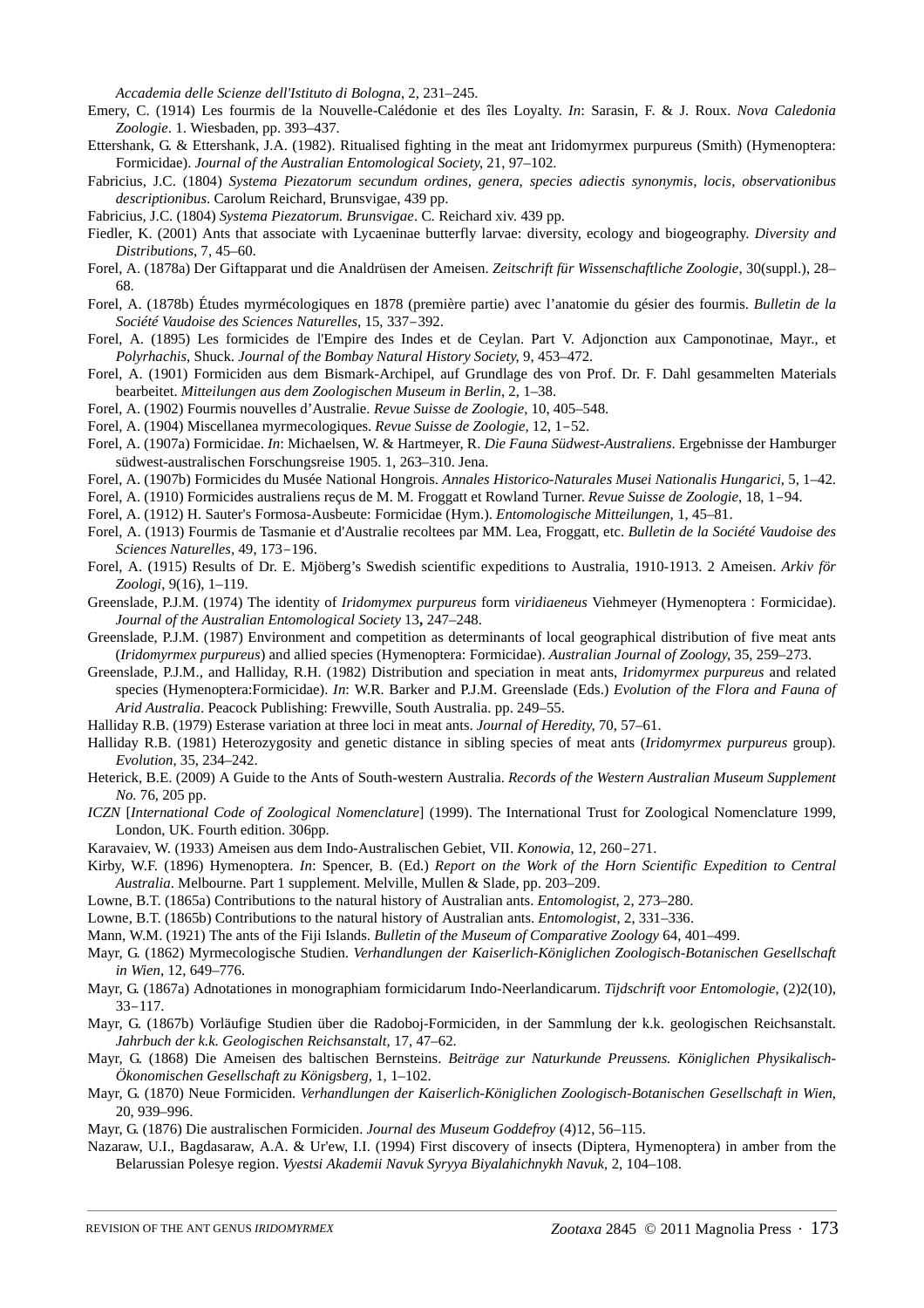*Accademia delle Scienze dell'Istituto di Bologna*, 2, 231–245.

- Emery, C. (1914) Les fourmis de la Nouvelle-Calédonie et des îles Loyalty. *In*[:](http://osuc.biosci.ohio-state.edu/hymDB/taxon_catalog.list_publ) Sarasin, F[. & J](http://osuc.biosci.ohio-state.edu/hymDB/taxon_catalog.list_publications_by_author?id=3701). Roux. *Nova Caledonia Zoologie*. 1. Wiesbaden, pp. 393–437.
- Ettershank, G. & Ettershank, J.A. (1982). Ritualised fighting in the meat ant Iridomyrmex purpureus (Smith) (Hymenoptera: Formicidae). *Journal of the Australian Entomological Society*, 21, 97–102.
- Fabricius, J.C. (1804) *Systema Piezatorum secundum ordines, genera, species adiectis synonymis, locis, observationibus descriptionibus*. Carolum Reichard, Brunsvigae, 439 pp.
- Fabricius, J.C. (1804) *Systema Piezatorum. Brunsvigae*. C. Reichard xiv. 439 pp.
- Fiedler, K. (2001) Ants that associate with Lycaeninae butterfly larvae: diversity, ecology and biogeography. *Diversity and Distributions*, 7, 45–60.
- Forel, A. (1878a) Der Giftapparat und die Analdrüsen der Ameisen. *Zeitschrift für Wissenschaftliche Zoologie*, 30(suppl.), 28– 68.
- Forel, A. (1878b) Études myrmécologiques en 1878 (première partie) avec l'anatomie du gésier des fourmis. *Bulletin de la Société Vaudoise des Sciences Naturelles*, 15, 337–392.
- Forel, A. (1895) Les formicides de l'Empire des Indes et de Ceylan. Part V. Adjonction aux Camponotinae, Mayr., et *Polyrhachis*, Shuck. *Journal of the Bombay Natural History Society*, 9, 453–472.
- Forel, A. (1901) Formiciden aus dem Bismark-Archipel, auf Grundlage des von Prof. Dr. F. Dahl gesammelten Materials bearbeitet. *Mitteilungen aus dem Zoologischen Museum in Berlin*, 2, 1–38.
- Forel, A. (1902) Fourmis nouvelles d'Australie. *Revue Suisse de Zoologie*, 10, 405–548.
- Forel, A. (1904) Miscellanea myrmecologiques. *Revue Suisse de Zoologie*, 12, 1–52.
- Forel, A. (1907a) Formicidae. *In*: Michaelsen, W. & Hartmeyer, R. *Die Fauna Südwest-Australiens*. Ergebnisse der Hamburger südwest-australischen Forschungsreise 1905. 1, 263–310. Jena.
- Forel, A. (1907b) Formicides du Musée National Hongrois. *Annales Historico-Naturales Musei Nationalis Hungarici*, 5, 1–42.
- Forel, A. (1910) Formicides australiens reçus de M. M. Froggatt et Rowland Turner. *Revue Suisse de Zoologie*, 18, 1–94.
- Forel, A. (1912) H. Sauter's Formosa-Ausbeute: Formicidae (Hym.). *Entomologische Mitteilungen*, 1, 45–81.
- Forel, A. (1913) Fourmis de Tasmanie et d'Australie recoltees par MM. Lea, Froggatt, etc. *Bulletin de la Société Vaudoise des Sciences Naturelles*, 49, 173–196.
- Forel, A. (1915) Results of Dr. E. Mjöberg's Swedish scientific expeditions to Australia, 1910-1913. 2 Ameisen. *Arkiv för Zoologi*, 9(16), 1–119.
- Greenslade, P.J.M. (1974) The identity of *Iridomymex purpureus* form *viridiaeneus* Viehmeyer (Hymenoptera : Formicidae). *Journal of the Australian Entomological Society* 13**,** 247–248.
- Greenslade, P.J.M. (1987) Environment and competition as determinants of local geographical distribution of five meat ants (*Iridomyrmex purpureus*) and allied species (Hymenoptera: Formicidae). *Australian Journal of Zoology*, 35, 259–273.
- Greenslade, P.J.M., and Halliday, R.H. (1982) Distribution and speciation in meat ants, *Iridomyrmex purpureus* and related species (Hymenoptera:Formicidae). *In*: W.R. Barker and P.J.M. Greenslade (Eds.) *Evolution of the Flora and Fauna of Arid Australia*. Peacock Publishing: Frewville, South Australia. pp. 249–55.
- Halliday R.B. (1979) Esterase variation at three loci in meat ants. *Journal of Heredity*, 70, 57–61.
- Halliday R.B. (1981) Heterozygosity and genetic distance in sibling species of meat ants (*Iridomyrmex purpureus* group). *Evolution*, 35, 234–242.
- Heterick, B.E. (2009) A Guide to the Ants of South-western Australia. *Records of the Western Australian Museum Supplement No.* 76, 205 pp.
- *ICZN* [*International Code of Zoological Nomenclature*] (1999). The International Trust for Zoological Nomenclature 1999, London, UK. Fourth edition. 306pp.
- Karavaiev, W. (1933) Ameisen aus dem Indo-Australischen Gebiet, VII. *Konowia*, 12, 260–271.
- Kirby, W.F. (1896) Hymenoptera. *In*: Spencer, B. (Ed.) *Report on the Work of the Horn Scientific Expedition to Central Australia*. Melbourne. Part 1 supplement. Melville, Mullen & Slade, pp. 203–209.
- Lowne, B.T. (1865a) Contributions to the natural history of Australian ants. *Entomologist*, 2, 273–280.
- Lowne, B.T. (1865b) Contributions to the natural history of Australian ants. *Entomologist*, 2, 331–336.
- Mann, W.M. (1921) The ants of the Fiji Islands. *Bulletin of the Museum of Comparative Zoology* 64, 401–499.
- Mayr, G. (1862) Myrmecologische Studien. *Verhandlungen der Kaiserlich-Königlichen Zoologisch-Botanischen Gesellschaft in Wien*, 12, 649–776.
- Mayr, G. (1867a) Adnotationes in monographiam formicidarum Indo-Neerlandicarum. *Tijdschrift voor Entomologie*, (2)2(10), 33–117.
- Mayr, G. (1867b) Vorläufige Studien über die Radoboj-Formiciden, in der Sammlung der k.k. geologischen Reichsanstalt. *Jahrbuch der k.k. Geologischen Reichsanstalt,* 17, 47–62.
- Mayr, G. (1868) Die Ameisen des baltischen Bernsteins. *Beiträge zur Naturkunde Preussens. Königlichen Physikalisch-Ökonomischen Gesellschaft zu Königsberg,* 1, 1–102.
- Mayr, G. (1870) Neue Formiciden. *Verhandlungen der Kaiserlich-Königlichen Zoologisch-Botanischen Gesellschaft in Wien*, 20, 939–996.
- Mayr, G. (1876) Die australischen Formiciden. *Journal des Museum Goddefroy* (4)12, 56–115.
- Nazaraw, U.I., Bagdasaraw, A.A. & Ur'ew, I.I. (1994) First discovery of insects (Diptera, Hymenoptera) in amber from the Belarussian Polesye region. *Vyestsi Akademii Navuk Syryya Biyalahichnykh Navuk,* 2, 104–108.